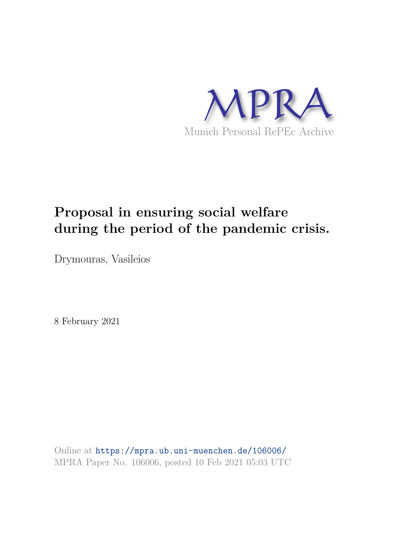

# **Proposal in ensuring social welfare during the period of the pandemic crisis.**

Drymouras, Vasileios

8 February 2021

Online at https://mpra.ub.uni-muenchen.de/106006/ MPRA Paper No. 106006, posted 10 Feb 2021 05:03 UTC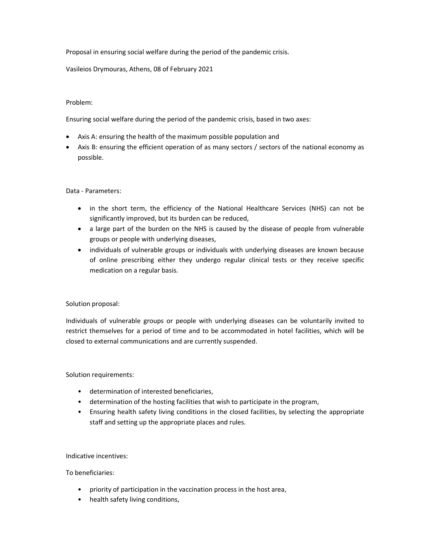Proposal in ensuring social welfare during the period of the pandemic crisis.

Vasileios Drymouras, Athens, 08 of February 2021

## Problem:

Ensuring social welfare during the period of the pandemic crisis, based in two axes:

- Axis A: ensuring the health of the maximum possible population and
- Axis B: ensuring the efficient operation of as many sectors / sectors of the national economy as possible.

## Data - Parameters:

- in the short term, the efficiency of the National Healthcare Services (NHS) can not be significantly improved, but its burden can be reduced,
- a large part of the burden on the NHS is caused by the disease of people from vulnerable groups or people with underlying diseases,
- individuals of vulnerable groups or individuals with underlying diseases are known because of online prescribing either they undergo regular clinical tests or they receive specific medication on a regular basis.

## Solution proposal:

Individuals of vulnerable groups or people with underlying diseases can be voluntarily invited to restrict themselves for a period of time and to be accommodated in hotel facilities, which will be closed to external communications and are currently suspended.

## Solution requirements:

- determination of interested beneficiaries,
- determination of the hosting facilities that wish to participate in the program,
- Ensuring health safety living conditions in the closed facilities, by selecting the appropriate staff and setting up the appropriate places and rules.

## Indicative incentives:

## To beneficiaries:

- priority of participation in the vaccination process in the host area,
- health safety living conditions,